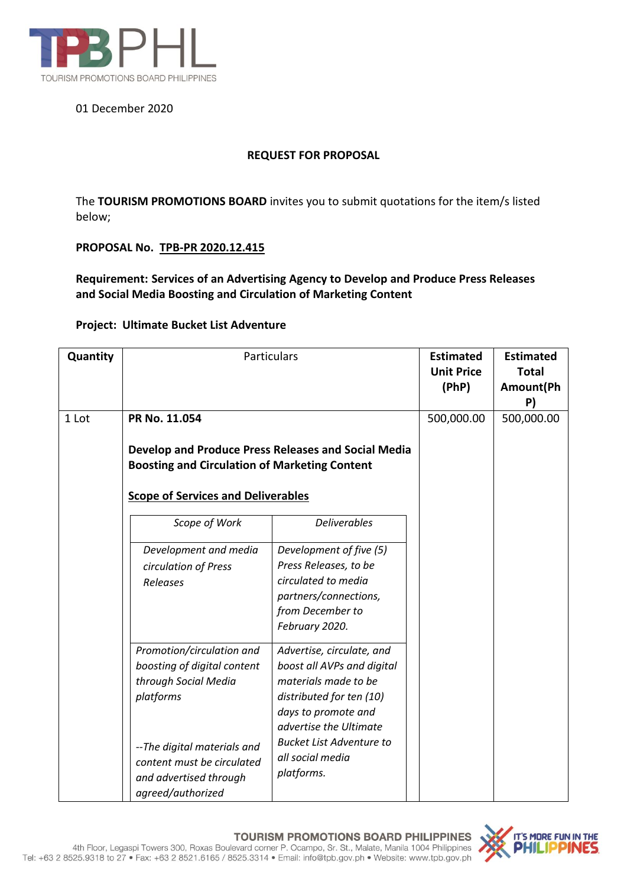

# 01 December 2020

## **REQUEST FOR PROPOSAL**

The **TOURISM PROMOTIONS BOARD** invites you to submit quotations for the item/s listed below;

### **PROPOSAL No. TPB-PR 2020.12.415**

**Requirement: Services of an Advertising Agency to Develop and Produce Press Releases and Social Media Boosting and Circulation of Marketing Content**

### **Project: Ultimate Bucket List Adventure**

| Quantity | Particulars                                                                                                                                                                                               | <b>Estimated</b><br><b>Unit Price</b><br>(PhP)                                                                                                                                                                                    | <b>Estimated</b><br><b>Total</b><br>Amount(Ph<br>P) |  |
|----------|-----------------------------------------------------------------------------------------------------------------------------------------------------------------------------------------------------------|-----------------------------------------------------------------------------------------------------------------------------------------------------------------------------------------------------------------------------------|-----------------------------------------------------|--|
| 1 Lot    | PR No. 11.054<br>Develop and Produce Press Releases and Social Media<br><b>Boosting and Circulation of Marketing Content</b><br><b>Scope of Services and Deliverables</b>                                 | 500,000.00                                                                                                                                                                                                                        | 500,000.00                                          |  |
|          | Scope of Work<br>Development and media<br>circulation of Press<br>Releases                                                                                                                                | <b>Deliverables</b><br>Development of five (5)<br>Press Releases, to be<br>circulated to media<br>partners/connections,<br>from December to<br>February 2020.                                                                     |                                                     |  |
|          | Promotion/circulation and<br>boosting of digital content<br>through Social Media<br>platforms<br>--The digital materials and<br>content must be circulated<br>and advertised through<br>agreed/authorized | Advertise, circulate, and<br>boost all AVPs and digital<br>materials made to be<br>distributed for ten (10)<br>days to promote and<br>advertise the Ultimate<br><b>Bucket List Adventure to</b><br>all social media<br>platforms. |                                                     |  |

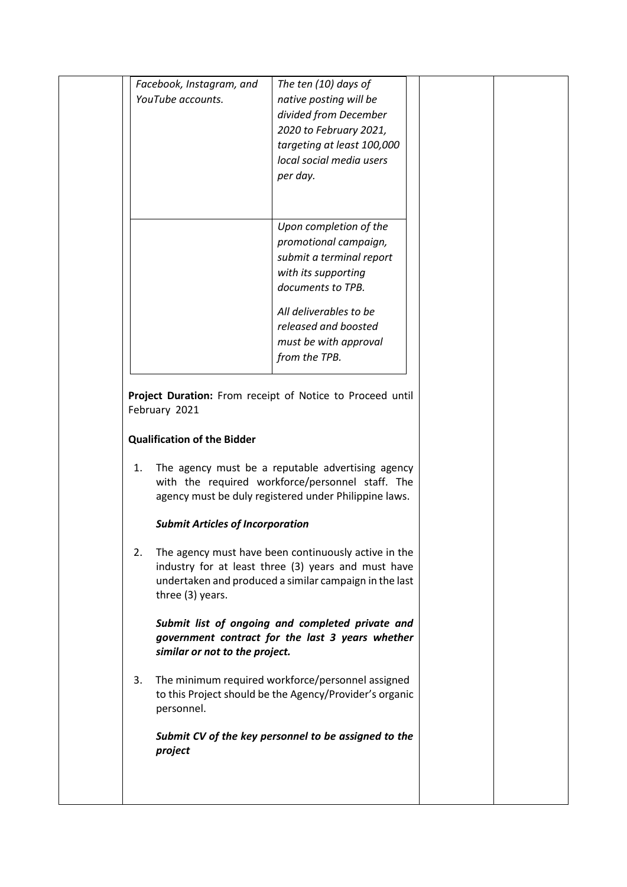|                                                           | Facebook, Instagram, and | The ten (10) days of       |  |  |
|-----------------------------------------------------------|--------------------------|----------------------------|--|--|
|                                                           | YouTube accounts.        | native posting will be     |  |  |
|                                                           |                          | divided from December      |  |  |
|                                                           |                          | 2020 to February 2021,     |  |  |
|                                                           |                          | targeting at least 100,000 |  |  |
|                                                           |                          | local social media users   |  |  |
|                                                           |                          | per day.                   |  |  |
|                                                           |                          |                            |  |  |
|                                                           |                          |                            |  |  |
|                                                           |                          | Upon completion of the     |  |  |
|                                                           |                          | promotional campaign,      |  |  |
|                                                           |                          | submit a terminal report   |  |  |
|                                                           |                          | with its supporting        |  |  |
|                                                           |                          | documents to TPB.          |  |  |
|                                                           |                          | All deliverables to be     |  |  |
|                                                           |                          | released and boosted       |  |  |
|                                                           |                          | must be with approval      |  |  |
|                                                           |                          | from the TPB.              |  |  |
|                                                           |                          |                            |  |  |
|                                                           |                          |                            |  |  |
| Project Duration: From receipt of Notice to Proceed until |                          |                            |  |  |
|                                                           | February 2021            |                            |  |  |

## **Qualification of the Bidder**

1. The agency must be a reputable advertising agency with the required workforce/personnel staff. The agency must be duly registered under Philippine laws.

### *Submit Articles of Incorporation*

2. The agency must have been continuously active in the industry for at least three (3) years and must have undertaken and produced a similar campaign in the last three (3) years.

*Submit list of ongoing and completed private and government contract for the last 3 years whether similar or not to the project.*

3. The minimum required workforce/personnel assigned to this Project should be the Agency/Provider's organic personnel.

*Submit CV of the key personnel to be assigned to the project*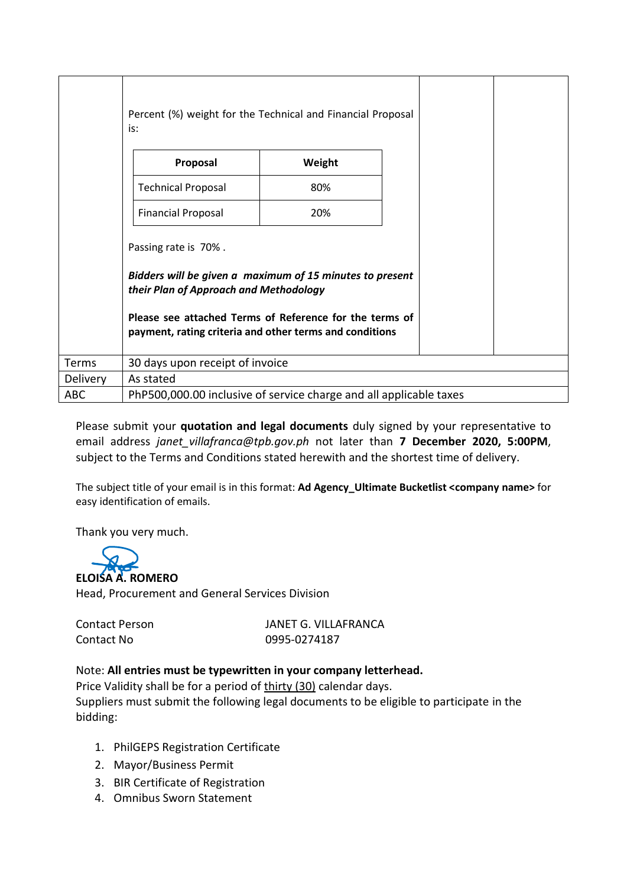|                 | Percent (%) weight for the Technical and Financial Proposal<br>is:                                                                                                                                                                               |        |  |  |
|-----------------|--------------------------------------------------------------------------------------------------------------------------------------------------------------------------------------------------------------------------------------------------|--------|--|--|
|                 | Proposal                                                                                                                                                                                                                                         | Weight |  |  |
|                 | <b>Technical Proposal</b>                                                                                                                                                                                                                        | 80%    |  |  |
|                 | <b>Financial Proposal</b>                                                                                                                                                                                                                        | 20%    |  |  |
|                 | Passing rate is 70%.<br>Bidders will be given a maximum of 15 minutes to present<br>their Plan of Approach and Methodology<br>Please see attached Terms of Reference for the terms of<br>payment, rating criteria and other terms and conditions |        |  |  |
| Terms           | 30 days upon receipt of invoice                                                                                                                                                                                                                  |        |  |  |
| <b>Delivery</b> | As stated                                                                                                                                                                                                                                        |        |  |  |
| <b>ABC</b>      | PhP500,000.00 inclusive of service charge and all applicable taxes                                                                                                                                                                               |        |  |  |

Please submit your **quotation and legal documents** duly signed by your representative to email address *janet\_villafranca@tpb.gov.ph* not later than **7 December 2020, 5:00PM**, subject to the Terms and Conditions stated herewith and the shortest time of delivery.

The subject title of your email is in this format: **Ad Agency\_Ultimate Bucketlist <company name>** for easy identification of emails.

Thank you very much.



Head, Procurement and General Services Division

Contact Person JANET G. VILLAFRANCA Contact No 0995-0274187

# Note: **All entries must be typewritten in your company letterhead.**

Price Validity shall be for a period of thirty (30) calendar days. Suppliers must submit the following legal documents to be eligible to participate in the bidding:

- 1. PhilGEPS Registration Certificate
- 2. Mayor/Business Permit
- 3. BIR Certificate of Registration
- 4. Omnibus Sworn Statement